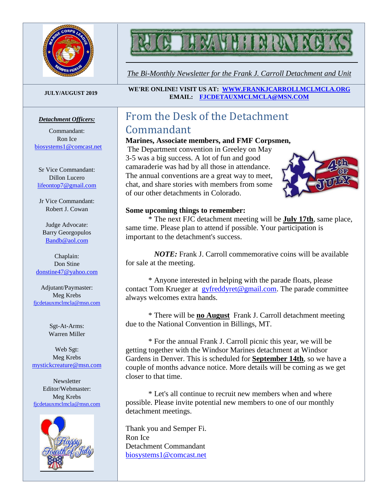

# N

*The Bi-Monthly Newsletter for the Frank J. Carroll Detachment and Unit*

#### *Detachment Officers:*

Commandant: Ron Ice [biosystems1@comcast.net](mailto:biosystems1@comcast.net)

Sr Vice Commandant: Dillon Lucero [lifeontop7@gmail.com](mailto:lifeontop7@gmail.com)

Jr Vice Commandant: Robert J. Cowan

Judge Advocate: Barry Georgopulos [Bandb@aol.com](mailto:Bandb@aol.com)

Chaplain: Don Stine [donstine47@yahoo.com](mailto:donstine47@yahoo.com)

Adjutant/Paymaster: Meg Krebs [fjcdetauxmclmcla@msn.com](mailto:fjcdetauxmclmcla@msn.com)

> Sgt-At-Arms: Warren Miller

Web Sgt: Meg Krebs [mystickcreature@msn.com](mailto:mystickcreature@msn.com)

**Newsletter** Editor/Webmaster: Meg Krebs [fjcdetauxmclmcla@msn.com](mailto:fjcdetauxmclmcla@msn.com)



**JULY/AUGUST <sup>2019</sup> WE'RE ONLINE! VISIT US AT: [WWW.FRANKJCARROLLMCLMCLA.ORG](http://www.frankjcarrollmclmcla.org/) EMAIL: [FJCDETAUXMCLMCLA@MSN.COM](mailto:fjcdetauxmclmcla@msn.com)** 

#### From the Desk of the Detachment Commandant

#### **Marines, Associate members, and FMF Corpsmen,**

The Department convention in Greeley on May 3-5 was a big success. A lot of fun and good camaraderie was had by all those in attendance. The annual conventions are a great way to meet, chat, and share stories with members from some of our other detachments in Colorado.



#### **Some upcoming things to remember:**

\* The next FJC detachment meeting will be **July 17th**, same place, same time. Please plan to attend if possible. Your participation is important to the detachment's success.

 *NOTE:* Frank J. Carroll commemorative coins will be available for sale at the meeting.

\* Anyone interested in helping with the parade floats, please contact Tom Krueger at [gyfreddyret@gmail.com.](mailto:gyfreddyret@gmail.com) The parade committee always welcomes extra hands.

\* There will be **no August** Frank J. Carroll detachment meeting due to the National Convention in Billings, MT.

\* For the annual Frank J. Carroll picnic this year, we will be getting together with the Windsor Marines detachment at Windsor Gardens in Denver. This is scheduled for **September 14th**, so we have a couple of months advance notice. More details will be coming as we get closer to that time.

\* Let's all continue to recruit new members when and where possible. Please invite potential new members to one of our monthly detachment meetings.

Thank you and Semper Fi. Ron Ice Detachment Commandant [biosystems1@comcast.net](mailto:biosystems1@comcast.net)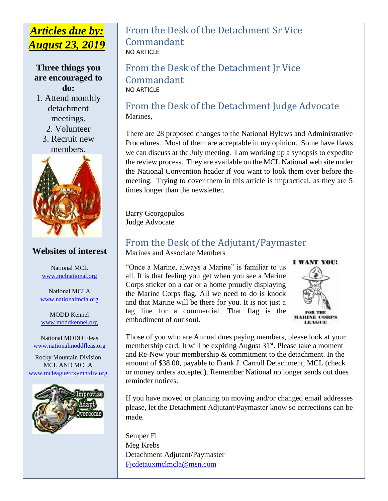#### *Articles due by: August 23, 2019*

**Three things you are encouraged to do:**

1. Attend monthly detachment meetings.

2. Volunteer

3. Recruit new members.



#### **Websites of interest**

National MCL [www.mclnational.org](http://www.mclnational.org/)

National MCLA [www.nationalmcla.org](http://www.nationalmcla.org/)

MODD Kennel [www.moddkennel.org](http://www.moddkennel.org/)

National MODD Fleas [www.nationalmoddfleas.org](http://www.nationalmoddfleas.org/)

Rocky Mountain Division MCL AND MCLA [www.mcleaguerckymntdiv.org](http://www.mcleaguerckymntdiv.org/)



#### From the Desk of the Detachment Sr Vice Commandant NO ARTICLE

From the Desk of the Detachment Jr Vice Commandant NO ARTICLE

#### From the Desk of the Detachment Judge Advocate Marines,

There are 28 proposed changes to the National Bylaws and Administrative Procedures. Most of them are acceptable in my opinion. Some have flaws we can discuss at the July meeting. I am working up a synopsis to expedite the review process. They are available on the MCL National web site under the National Convention header if you want to look them over before the meeting. Trying to cover them in this article is impractical, as they are 5 times longer than the newsletter.

Barry Georgopulos Judge Advocate

#### From the Desk of the Adjutant/Paymaster

Marines and Associate Members

"Once a Marine, always a Marine" is familiar to us all. It is that feeling you get when you see a Marine Corps sticker on a car or a home proudly displaying the Marine Corps flag. All we need to do is knock and that Marine will be there for you. It is not just a tag line for a commercial. That flag is the embodiment of our soul.



Those of you who are Annual dues paying members, please look at your membership card. It will be expiring August 31<sup>st</sup>. Please take a moment and Re-New your membership & commitment to the detachment. In the amount of \$38.00, payable to Frank J. Carroll Detachment, MCL (check or money orders accepted). Remember National no longer sends out dues reminder notices.

If you have moved or planning on moving and/or changed email addresses please, let the Detachment Adjutant/Paymaster know so corrections can be made.

Semper Fi Meg Krebs Detachment Adjutant/Paymaster [Fjcdetauxmclmcla@msn.com](mailto:Fjcdetauxmclmcla@msn.com)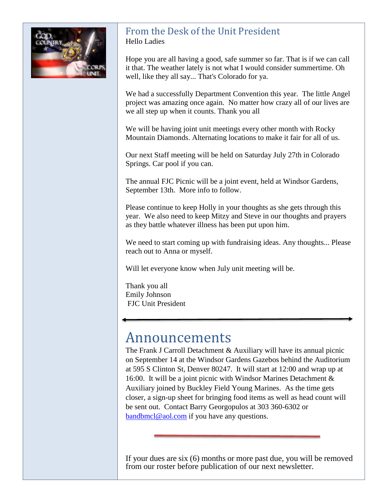

#### From the Desk of the Unit President Hello Ladies

Hope you are all having a good, safe summer so far. That is if we can call it that. The weather lately is not what I would consider summertime. Oh well, like they all say... That's Colorado for ya.

We had a successfully Department Convention this year. The little Angel project was amazing once again. No matter how crazy all of our lives are we all step up when it counts. Thank you all

We will be having joint unit meetings every other month with Rocky Mountain Diamonds. Alternating locations to make it fair for all of us.

Our next Staff meeting will be held on Saturday July 27th in Colorado Springs. Car pool if you can.

The annual FJC Picnic will be a joint event, held at Windsor Gardens, September 13th. More info to follow.

Please continue to keep Holly in your thoughts as she gets through this year. We also need to keep Mitzy and Steve in our thoughts and prayers as they battle whatever illness has been put upon him.

We need to start coming up with fundraising ideas. Any thoughts... Please reach out to Anna or myself.

Will let everyone know when July unit meeting will be.

Thank you all Emily Johnson FJC Unit President

### Announcements

The Frank J Carroll Detachment & Auxiliary will have its annual picnic on September 14 at the Windsor Gardens Gazebos behind the Auditorium at 595 S Clinton St, Denver 80247. It will start at 12:00 and wrap up at 16:00. It will be a joint picnic with Windsor Marines Detachment & Auxiliary joined by Buckley Field Young Marines. As the time gets closer, a sign-up sheet for bringing food items as well as head count will be sent out. Contact Barry Georgopulos at 303 360-6302 or [bandbmcl@aol.com](mailto:bandbmcl@aol.com) if you have any questions.

If your dues are six (6) months or more past due, you will be removed from our roster before publication of our next newsletter.